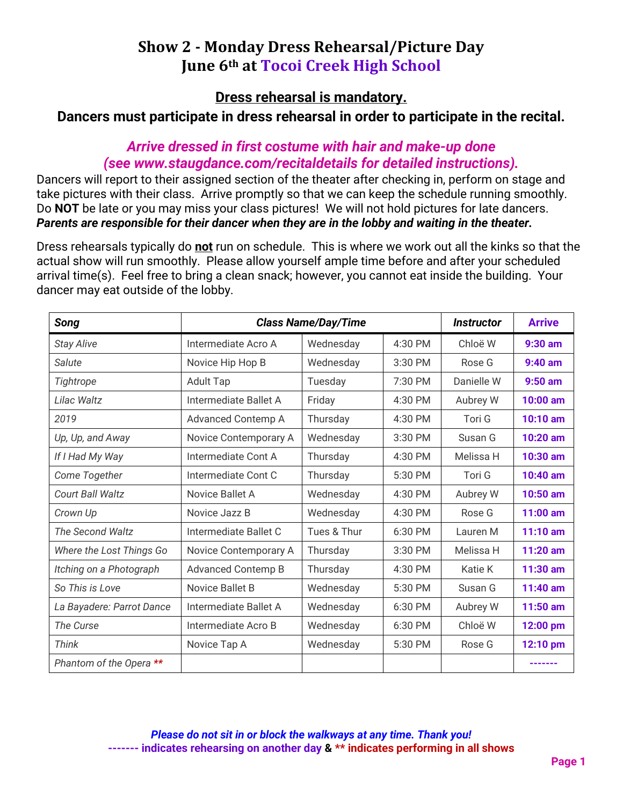# **Show 2 - Monday Dress Rehearsal/Picture Day June 6th at Tocoi Creek High School**

**Dress rehearsal is mandatory.** 

**Dancers must participate in dress rehearsal in order to participate in the recital.**

### *Arrive dressed in first costume with hair and make-up done (see www.staugdance.com/recitaldetails for detailed instructions).*

Dancers will report to their assigned section of the theater after checking in, perform on stage and take pictures with their class. Arrive promptly so that we can keep the schedule running smoothly. Do **NOT** be late or you may miss your class pictures! We will not hold pictures for late dancers. *Parents are responsible for their dancer when they are in the lobby and waiting in the theater.* 

Dress rehearsals typically do **not** run on schedule. This is where we work out all the kinks so that the actual show will run smoothly. Please allow yourself ample time before and after your scheduled arrival time(s). Feel free to bring a clean snack; however, you cannot eat inside the building. Your dancer may eat outside of the lobby.

| Song                      | <b>Class Name/Day/Time</b> | <i><b>Instructor</b></i> | <b>Arrive</b> |            |            |
|---------------------------|----------------------------|--------------------------|---------------|------------|------------|
| <b>Stay Alive</b>         | Intermediate Acro A        | Wednesday                | $4:30$ PM     | Chloë W    | $9:30$ am  |
| Salute                    | Novice Hip Hop B           | Wednesday                | 3:30 PM       | Rose G     | $9:40$ am  |
| Tightrope                 | <b>Adult Tap</b>           | Tuesday                  | $7:30$ PM     | Danielle W | $9:50$ am  |
| Lilac Waltz               | Intermediate Ballet A      | Friday                   | 4:30 PM       | Aubrey W   | 10:00 am   |
| 2019                      | Advanced Contemp A         | Thursday                 | 4:30 PM       | Tori G     | 10:10 am   |
| Up, Up, and Away          | Novice Contemporary A      | Wednesday                | 3:30 PM       | Susan G    | 10:20 am   |
| If I Had My Way           | Intermediate Cont A        | Thursday                 | 4:30 PM       | Melissa H  | 10:30 am   |
| Come Together             | Intermediate Cont C        | Thursday                 | 5:30 PM       | Tori G     | 10:40 am   |
| Court Ball Waltz          | Novice Ballet A            | Wednesday                | 4:30 PM       | Aubrey W   | 10:50 am   |
| Crown Up                  | Novice Jazz B              | Wednesday                | 4:30 PM       | Rose G     | $11:00$ am |
| The Second Waltz          | Intermediate Ballet C      | Tues & Thur              | 6:30 PM       | Lauren M   | $11:10$ am |
| Where the Lost Things Go  | Novice Contemporary A      | Thursday                 | 3:30 PM       | Melissa H  | 11:20 am   |
| Itching on a Photograph   | <b>Advanced Contemp B</b>  | Thursday                 | 4:30 PM       | Katie K    | 11:30 am   |
| So This is Love           | Novice Ballet B            | Wednesday                | 5:30 PM       | Susan G    | 11:40 am   |
| La Bayadere: Parrot Dance | Intermediate Ballet A      | Wednesday                | 6:30 PM       | Aubrey W   | 11:50 am   |
| The Curse                 | Intermediate Acro B        | Wednesday                | 6:30 PM       | Chloë W    | 12:00 pm   |
| Think                     | Novice Tap A               | Wednesday                | 5:30 PM       | Rose G     | 12:10 pm   |
| Phantom of the Opera **   |                            |                          |               |            |            |